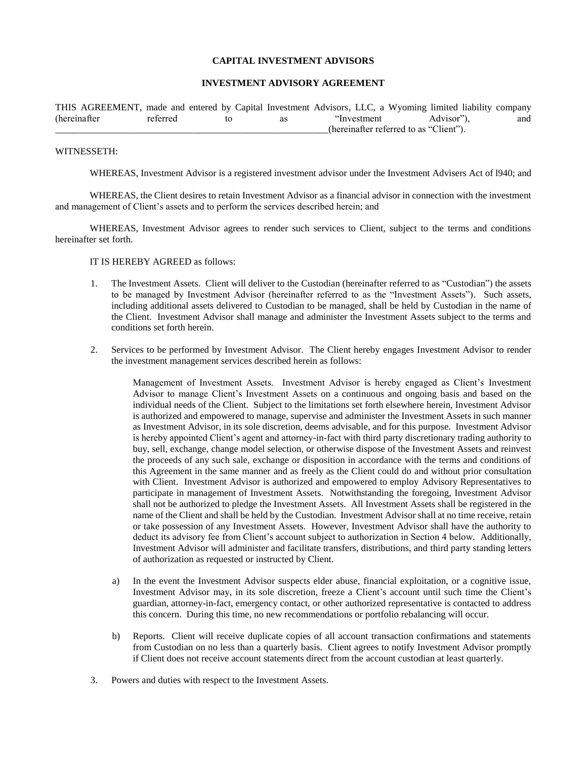## **CAPITAL INVESTMENT ADVISORS**

### **INVESTMENT ADVISORY AGREEMENT**

THIS AGREEMENT, made and entered by Capital Investment Advisors, LLC, a Wyoming limited liability company (hereinafter referred to as "Investment Advisor"), and (hereinafter referred to as "Client").

#### WITNESSETH:

WHEREAS, Investment Advisor is a registered investment advisor under the Investment Advisers Act of l940; and

WHEREAS, the Client desires to retain Investment Advisor as a financial advisor in connection with the investment and management of Client's assets and to perform the services described herein; and

WHEREAS, Investment Advisor agrees to render such services to Client, subject to the terms and conditions hereinafter set forth.

IT IS HEREBY AGREED as follows:

- 1. The Investment Assets. Client will deliver to the Custodian (hereinafter referred to as "Custodian") the assets to be managed by Investment Advisor (hereinafter referred to as the "Investment Assets"). Such assets, including additional assets delivered to Custodian to be managed, shall be held by Custodian in the name of the Client. Investment Advisor shall manage and administer the Investment Assets subject to the terms and conditions set forth herein.
- 2. Services to be performed by Investment Advisor. The Client hereby engages Investment Advisor to render the investment management services described herein as follows:

Management of Investment Assets. Investment Advisor is hereby engaged as Client's Investment Advisor to manage Client's Investment Assets on a continuous and ongoing basis and based on the individual needs of the Client. Subject to the limitations set forth elsewhere herein, Investment Advisor is authorized and empowered to manage, supervise and administer the Investment Assets in such manner as Investment Advisor, in its sole discretion, deems advisable, and for this purpose. Investment Advisor is hereby appointed Client's agent and attorney-in-fact with third party discretionary trading authority to buy, sell, exchange, change model selection, or otherwise dispose of the Investment Assets and reinvest the proceeds of any such sale, exchange or disposition in accordance with the terms and conditions of this Agreement in the same manner and as freely as the Client could do and without prior consultation with Client. Investment Advisor is authorized and empowered to employ Advisory Representatives to participate in management of Investment Assets. Notwithstanding the foregoing, Investment Advisor shall not be authorized to pledge the Investment Assets. All Investment Assets shall be registered in the name of the Client and shall be held by the Custodian. Investment Advisor shall at no time receive, retain or take possession of any Investment Assets. However, Investment Advisor shall have the authority to deduct its advisory fee from Client's account subject to authorization in Section 4 below. Additionally, Investment Advisor will administer and facilitate transfers, distributions, and third party standing letters of authorization as requested or instructed by Client.

- a) In the event the Investment Advisor suspects elder abuse, financial exploitation, or a cognitive issue, Investment Advisor may, in its sole discretion, freeze a Client's account until such time the Client's guardian, attorney-in-fact, emergency contact, or other authorized representative is contacted to address this concern. During this time, no new recommendations or portfolio rebalancing will occur.
- b) Reports. Client will receive duplicate copies of all account transaction confirmations and statements from Custodian on no less than a quarterly basis. Client agrees to notify Investment Advisor promptly if Client does not receive account statements direct from the account custodian at least quarterly.
- 3. Powers and duties with respect to the Investment Assets.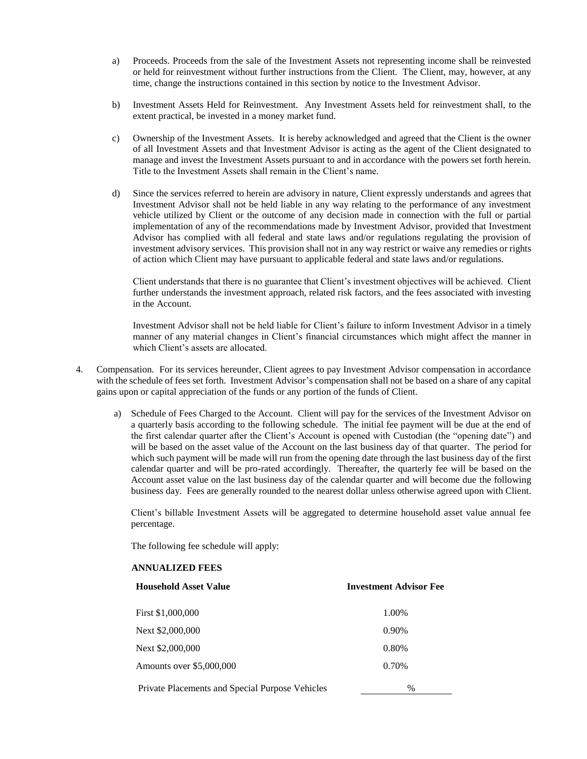- a) Proceeds. Proceeds from the sale of the Investment Assets not representing income shall be reinvested or held for reinvestment without further instructions from the Client. The Client, may, however, at any time, change the instructions contained in this section by notice to the Investment Advisor.
- b) Investment Assets Held for Reinvestment. Any Investment Assets held for reinvestment shall, to the extent practical, be invested in a money market fund.
- c) Ownership of the Investment Assets. It is hereby acknowledged and agreed that the Client is the owner of all Investment Assets and that Investment Advisor is acting as the agent of the Client designated to manage and invest the Investment Assets pursuant to and in accordance with the powers set forth herein. Title to the Investment Assets shall remain in the Client's name.
- d) Since the services referred to herein are advisory in nature, Client expressly understands and agrees that Investment Advisor shall not be held liable in any way relating to the performance of any investment vehicle utilized by Client or the outcome of any decision made in connection with the full or partial implementation of any of the recommendations made by Investment Advisor, provided that Investment Advisor has complied with all federal and state laws and/or regulations regulating the provision of investment advisory services. This provision shall not in any way restrict or waive any remedies or rights of action which Client may have pursuant to applicable federal and state laws and/or regulations.

Client understands that there is no guarantee that Client's investment objectives will be achieved. Client further understands the investment approach, related risk factors, and the fees associated with investing in the Account.

Investment Advisor shall not be held liable for Client's failure to inform Investment Advisor in a timely manner of any material changes in Client's financial circumstances which might affect the manner in which Client's assets are allocated.

- 4. Compensation. For its services hereunder, Client agrees to pay Investment Advisor compensation in accordance with the schedule of fees set forth. Investment Advisor's compensation shall not be based on a share of any capital gains upon or capital appreciation of the funds or any portion of the funds of Client.
	- a) Schedule of Fees Charged to the Account. Client will pay for the services of the Investment Advisor on a quarterly basis according to the following schedule. The initial fee payment will be due at the end of the first calendar quarter after the Client's Account is opened with Custodian (the "opening date") and will be based on the asset value of the Account on the last business day of that quarter. The period for which such payment will be made will run from the opening date through the last business day of the first calendar quarter and will be pro-rated accordingly. Thereafter, the quarterly fee will be based on the Account asset value on the last business day of the calendar quarter and will become due the following business day. Fees are generally rounded to the nearest dollar unless otherwise agreed upon with Client.

Client's billable Investment Assets will be aggregated to determine household asset value annual fee percentage.

The following fee schedule will apply:

#### **ANNUALIZED FEES**

| Household Asset Value                           | <b>Investment Advisor Fee</b> |
|-------------------------------------------------|-------------------------------|
| First \$1,000,000                               | 1.00%                         |
| Next \$2,000,000                                | 0.90%                         |
| Next \$2,000,000                                | 0.80%                         |
| Amounts over \$5,000,000                        | 0.70%                         |
| Private Placements and Special Purpose Vehicles | $\%$                          |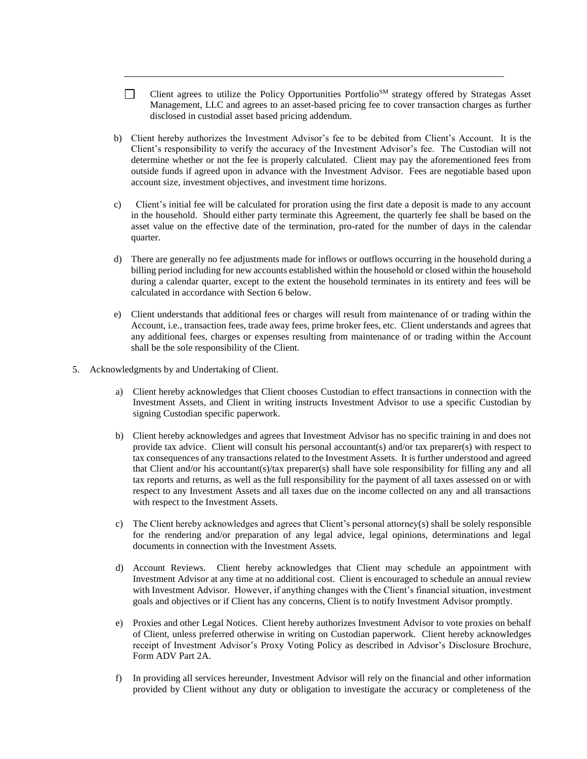- $\Box$ Client agrees to utilize the Policy Opportunities Portfolio<sup>SM</sup> strategy offered by Strategas Asset Management, LLC and agrees to an asset-based pricing fee to cover transaction charges as further disclosed in custodial asset based pricing addendum.
- b) Client hereby authorizes the Investment Advisor's fee to be debited from Client's Account. It is the Client's responsibility to verify the accuracy of the Investment Advisor's fee. The Custodian will not determine whether or not the fee is properly calculated. Client may pay the aforementioned fees from outside funds if agreed upon in advance with the Investment Advisor. Fees are negotiable based upon account size, investment objectives, and investment time horizons.
- c) Client's initial fee will be calculated for proration using the first date a deposit is made to any account in the household. Should either party terminate this Agreement, the quarterly fee shall be based on the asset value on the effective date of the termination, pro-rated for the number of days in the calendar quarter.
- d) There are generally no fee adjustments made for inflows or outflows occurring in the household during a billing period including for new accounts established within the household or closed within the household during a calendar quarter, except to the extent the household terminates in its entirety and fees will be calculated in accordance with Section 6 below.
- e) Client understands that additional fees or charges will result from maintenance of or trading within the Account, i.e., transaction fees, trade away fees, prime broker fees, etc. Client understands and agrees that any additional fees, charges or expenses resulting from maintenance of or trading within the Account shall be the sole responsibility of the Client.
- 5. Acknowledgments by and Undertaking of Client.
	- a) Client hereby acknowledges that Client chooses Custodian to effect transactions in connection with the Investment Assets, and Client in writing instructs Investment Advisor to use a specific Custodian by signing Custodian specific paperwork.
	- b) Client hereby acknowledges and agrees that Investment Advisor has no specific training in and does not provide tax advice. Client will consult his personal accountant(s) and/or tax preparer(s) with respect to tax consequences of any transactions related to the Investment Assets. It is further understood and agreed that Client and/or his accountant(s)/tax preparer(s) shall have sole responsibility for filling any and all tax reports and returns, as well as the full responsibility for the payment of all taxes assessed on or with respect to any Investment Assets and all taxes due on the income collected on any and all transactions with respect to the Investment Assets.
	- c) The Client hereby acknowledges and agrees that Client's personal attorney(s) shall be solely responsible for the rendering and/or preparation of any legal advice, legal opinions, determinations and legal documents in connection with the Investment Assets.
	- d) Account Reviews. Client hereby acknowledges that Client may schedule an appointment with Investment Advisor at any time at no additional cost. Client is encouraged to schedule an annual review with Investment Advisor. However, if anything changes with the Client's financial situation, investment goals and objectives or if Client has any concerns, Client is to notify Investment Advisor promptly.
	- e) Proxies and other Legal Notices. Client hereby authorizes Investment Advisor to vote proxies on behalf of Client, unless preferred otherwise in writing on Custodian paperwork. Client hereby acknowledges receipt of Investment Advisor's Proxy Voting Policy as described in Advisor's Disclosure Brochure, Form ADV Part 2A.
	- f) In providing all services hereunder, Investment Advisor will rely on the financial and other information provided by Client without any duty or obligation to investigate the accuracy or completeness of the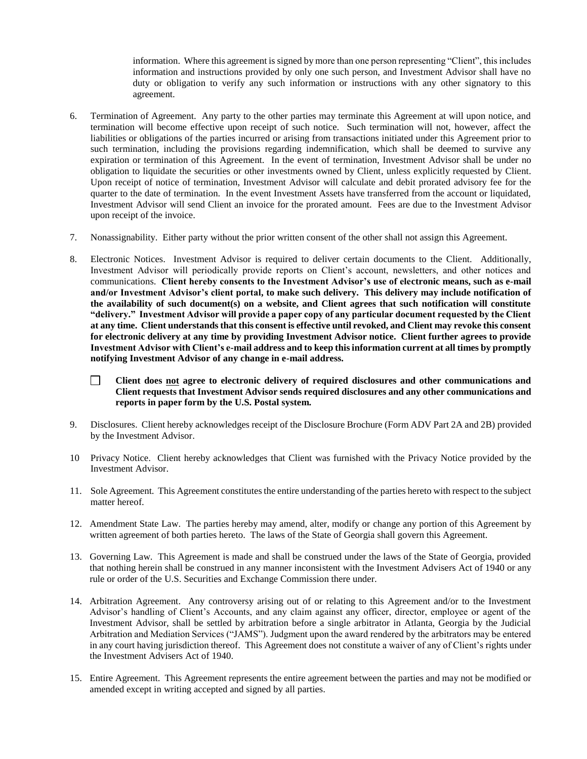information. Where this agreement is signed by more than one person representing "Client", this includes information and instructions provided by only one such person, and Investment Advisor shall have no duty or obligation to verify any such information or instructions with any other signatory to this agreement.

- 6. Termination of Agreement. Any party to the other parties may terminate this Agreement at will upon notice, and termination will become effective upon receipt of such notice. Such termination will not, however, affect the liabilities or obligations of the parties incurred or arising from transactions initiated under this Agreement prior to such termination, including the provisions regarding indemnification, which shall be deemed to survive any expiration or termination of this Agreement. In the event of termination, Investment Advisor shall be under no obligation to liquidate the securities or other investments owned by Client, unless explicitly requested by Client. Upon receipt of notice of termination, Investment Advisor will calculate and debit prorated advisory fee for the quarter to the date of termination. In the event Investment Assets have transferred from the account or liquidated, Investment Advisor will send Client an invoice for the prorated amount. Fees are due to the Investment Advisor upon receipt of the invoice.
- 7. Nonassignability. Either party without the prior written consent of the other shall not assign this Agreement.
- 8. Electronic Notices. Investment Advisor is required to deliver certain documents to the Client. Additionally, Investment Advisor will periodically provide reports on Client's account, newsletters, and other notices and communications. **Client hereby consents to the Investment Advisor's use of electronic means, such as e-mail and/or Investment Advisor's client portal, to make such delivery. This delivery may include notification of the availability of such document(s) on a website, and Client agrees that such notification will constitute "delivery." Investment Advisor will provide a paper copy of any particular document requested by the Client at any time. Client understands that this consent is effective until revoked, and Client may revoke this consent for electronic delivery at any time by providing Investment Advisor notice. Client further agrees to provide Investment Advisor with Client's e-mail address and to keep this information current at all times by promptly notifying Investment Advisor of any change in e-mail address.** 
	- $\Box$ **Client does not agree to electronic delivery of required disclosures and other communications and Client requests that Investment Advisor sends required disclosures and any other communications and reports in paper form by the U.S. Postal system.**
- 9. Disclosures. Client hereby acknowledges receipt of the Disclosure Brochure (Form ADV Part 2A and 2B) provided by the Investment Advisor.
- 10 Privacy Notice. Client hereby acknowledges that Client was furnished with the Privacy Notice provided by the Investment Advisor.
- 11. Sole Agreement. This Agreement constitutes the entire understanding of the parties hereto with respect to the subject matter hereof.
- 12. Amendment State Law. The parties hereby may amend, alter, modify or change any portion of this Agreement by written agreement of both parties hereto. The laws of the State of Georgia shall govern this Agreement.
- 13. Governing Law. This Agreement is made and shall be construed under the laws of the State of Georgia, provided that nothing herein shall be construed in any manner inconsistent with the Investment Advisers Act of 1940 or any rule or order of the U.S. Securities and Exchange Commission there under.
- 14. Arbitration Agreement. Any controversy arising out of or relating to this Agreement and/or to the Investment Advisor's handling of Client's Accounts, and any claim against any officer, director, employee or agent of the Investment Advisor, shall be settled by arbitration before a single arbitrator in Atlanta, Georgia by the Judicial Arbitration and Mediation Services ("JAMS"). Judgment upon the award rendered by the arbitrators may be entered in any court having jurisdiction thereof. This Agreement does not constitute a waiver of any of Client's rights under the Investment Advisers Act of 1940.
- 15. Entire Agreement. This Agreement represents the entire agreement between the parties and may not be modified or amended except in writing accepted and signed by all parties.